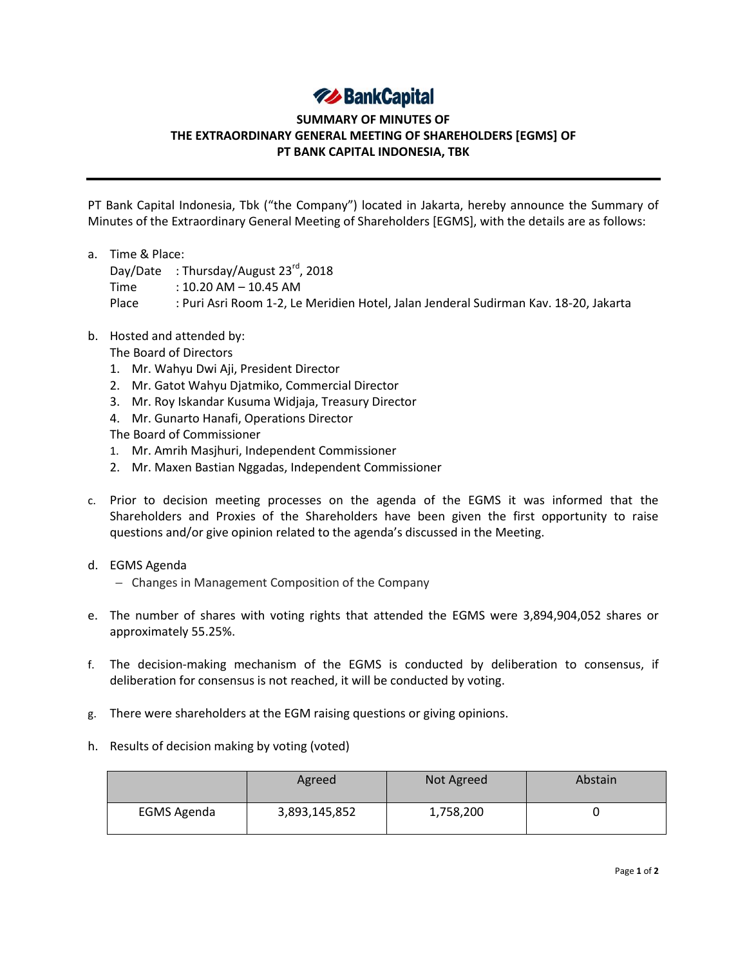## **74 BankCapital**

## **SUMMARY OF MINUTES OF THE EXTRAORDINARY GENERAL MEETING OF SHAREHOLDERS [EGMS] OF PT BANK CAPITAL INDONESIA, TBK**

PT Bank Capital Indonesia, Tbk ("the Company") located in Jakarta, hereby announce the Summary of Minutes of the Extraordinary General Meeting of Shareholders [EGMS], with the details are as follows:

a. Time & Place: Day/Date : Thursday/August 23<sup>rd</sup>, 2018 Time : 10.20 AM – 10.45 AM Place : Puri Asri Room 1-2, Le Meridien Hotel, Jalan Jenderal Sudirman Kav. 18-20, Jakarta

## b. Hosted and attended by:

The Board of Directors

- 1. Mr. Wahyu Dwi Aji, President Director
- 2. Mr. Gatot Wahyu Djatmiko, Commercial Director
- 3. Mr. Roy Iskandar Kusuma Widjaja, Treasury Director
- 4. Mr. Gunarto Hanafi, Operations Director

The Board of Commissioner

- 1. Mr. Amrih Masjhuri, Independent Commissioner
- 2. Mr. Maxen Bastian Nggadas, Independent Commissioner
- c. Prior to decision meeting processes on the agenda of the EGMS it was informed that the Shareholders and Proxies of the Shareholders have been given the first opportunity to raise questions and/or give opinion related to the agenda's discussed in the Meeting.
- d. EGMS Agenda
	- Changes in Management Composition of the Company
- e. The number of shares with voting rights that attended the EGMS were 3,894,904,052 shares or approximately 55.25%.
- f. The decision-making mechanism of the EGMS is conducted by deliberation to consensus, if deliberation for consensus is not reached, it will be conducted by voting.
- g. There were shareholders at the EGM raising questions or giving opinions.
- h. Results of decision making by voting (voted)

|                    | Agreed        | Not Agreed | Abstain |
|--------------------|---------------|------------|---------|
| <b>EGMS Agenda</b> | 3,893,145,852 | 1,758,200  |         |